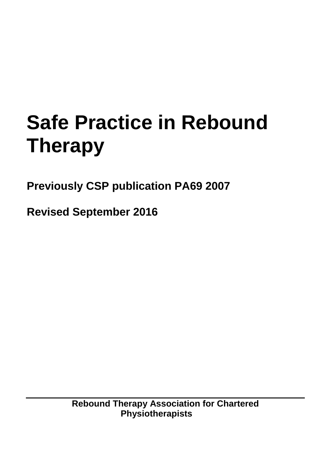# **Safe Practice in Rebound Therapy**

**Previously CSP publication PA69 2007**

**Revised September 2016**

**Rebound Therapy Association for Chartered Physiotherapists**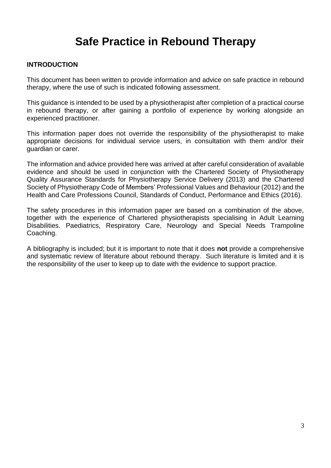# **Safe Practice in Rebound Therapy**

#### **INTRODUCTION**

This document has been written to provide information and advice on safe practice in rebound therapy, where the use of such is indicated following assessment.

This guidance is intended to be used by a physiotherapist after completion of a practical course in rebound therapy, or after gaining a portfolio of experience by working alongside an experienced practitioner.

This information paper does not override the responsibility of the physiotherapist to make appropriate decisions for individual service users, in consultation with them and/or their guardian or carer.

The information and advice provided here was arrived at after careful consideration of available evidence and should be used in conjunction with the Chartered Society of Physiotherapy Quality Assurance Standards for Physiotherapy Service Delivery (2013) and the Chartered Society of Physiotherapy Code of Members' Professional Values and Behaviour (2012) and the Health and Care Professions Council, Standards of Conduct, Performance and Ethics (2016).

The safety procedures in this information paper are based on a combination of the above, together with the experience of Chartered physiotherapists specialising in Adult Learning Disabilities. Paediatrics, Respiratory Care, Neurology and Special Needs Trampoline Coaching.

A bibliography is included; but it is important to note that it does **not** provide a comprehensive and systematic review of literature about rebound therapy. Such literature is limited and it is the responsibility of the user to keep up to date with the evidence to support practice.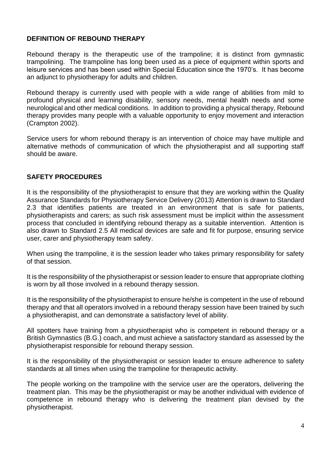## **DEFINITION OF REBOUND THERAPY**

Rebound therapy is the therapeutic use of the trampoline; it is distinct from gymnastic trampolining. The trampoline has long been used as a piece of equipment within sports and leisure services and has been used within Special Education since the 1970's. It has become an adjunct to physiotherapy for adults and children.

Rebound therapy is currently used with people with a wide range of abilities from mild to profound physical and learning disability, sensory needs, mental health needs and some neurological and other medical conditions. In addition to providing a physical therapy, Rebound therapy provides many people with a valuable opportunity to enjoy movement and interaction (Crampton 2002).

Service users for whom rebound therapy is an intervention of choice may have multiple and alternative methods of communication of which the physiotherapist and all supporting staff should be aware.

#### **SAFETY PROCEDURES**

It is the responsibility of the physiotherapist to ensure that they are working within the Quality Assurance Standards for Physiotherapy Service Delivery (2013) Attention is drawn to Standard 2.3 that identifies patients are treated in an environment that is safe for patients, physiotherapists and carers; as such risk assessment must be implicit within the assessment process that concluded in identifying rebound therapy as a suitable intervention. Attention is also drawn to Standard 2.5 All medical devices are safe and fit for purpose, ensuring service user, carer and physiotherapy team safety.

When using the trampoline, it is the session leader who takes primary responsibility for safety of that session.

It is the responsibility of the physiotherapist or session leader to ensure that appropriate clothing is worn by all those involved in a rebound therapy session.

It is the responsibility of the physiotherapist to ensure he/she is competent in the use of rebound therapy and that all operators involved in a rebound therapy session have been trained by such a physiotherapist, and can demonstrate a satisfactory level of ability.

All spotters have training from a physiotherapist who is competent in rebound therapy or a British Gymnastics (B.G.) coach, and must achieve a satisfactory standard as assessed by the physiotherapist responsible for rebound therapy session.

It is the responsibility of the physiotherapist or session leader to ensure adherence to safety standards at all times when using the trampoline for therapeutic activity.

The people working on the trampoline with the service user are the operators, delivering the treatment plan. This may be the physiotherapist or may be another individual with evidence of competence in rebound therapy who is delivering the treatment plan devised by the physiotherapist.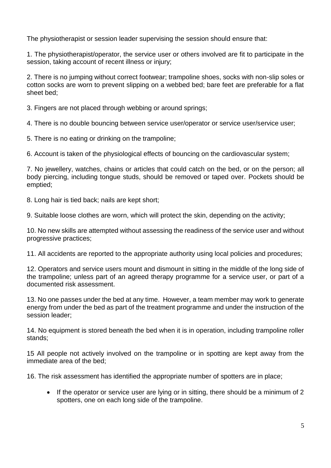The physiotherapist or session leader supervising the session should ensure that:

1. The physiotherapist/operator, the service user or others involved are fit to participate in the session, taking account of recent illness or injury;

2. There is no jumping without correct footwear; trampoline shoes, socks with non-slip soles or cotton socks are worn to prevent slipping on a webbed bed; bare feet are preferable for a flat sheet bed;

3. Fingers are not placed through webbing or around springs;

4. There is no double bouncing between service user/operator or service user/service user;

5. There is no eating or drinking on the trampoline;

6. Account is taken of the physiological effects of bouncing on the cardiovascular system;

7. No jewellery, watches, chains or articles that could catch on the bed, or on the person; all body piercing, including tongue studs, should be removed or taped over. Pockets should be emptied;

8. Long hair is tied back; nails are kept short;

9. Suitable loose clothes are worn, which will protect the skin, depending on the activity;

10. No new skills are attempted without assessing the readiness of the service user and without progressive practices;

11. All accidents are reported to the appropriate authority using local policies and procedures;

12. Operators and service users mount and dismount in sitting in the middle of the long side of the trampoline; unless part of an agreed therapy programme for a service user, or part of a documented risk assessment.

13. No one passes under the bed at any time. However, a team member may work to generate energy from under the bed as part of the treatment programme and under the instruction of the session leader;

14. No equipment is stored beneath the bed when it is in operation, including trampoline roller stands;

15 All people not actively involved on the trampoline or in spotting are kept away from the immediate area of the bed;

16. The risk assessment has identified the appropriate number of spotters are in place;

• If the operator or service user are lying or in sitting, there should be a minimum of 2 spotters, one on each long side of the trampoline.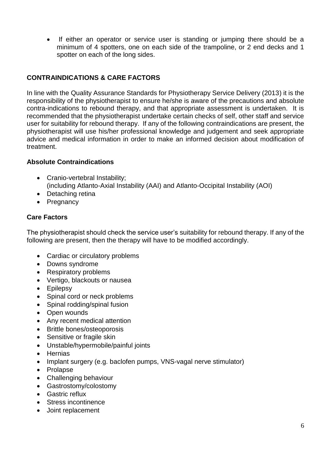• If either an operator or service user is standing or jumping there should be a minimum of 4 spotters, one on each side of the trampoline, or 2 end decks and 1 spotter on each of the long sides.

## **CONTRAINDICATIONS & CARE FACTORS**

In line with the Quality Assurance Standards for Physiotherapy Service Delivery (2013) it is the responsibility of the physiotherapist to ensure he/she is aware of the precautions and absolute contra-indications to rebound therapy, and that appropriate assessment is undertaken. It is recommended that the physiotherapist undertake certain checks of self, other staff and service user for suitability for rebound therapy. If any of the following contraindications are present, the physiotherapist will use his/her professional knowledge and judgement and seek appropriate advice and medical information in order to make an informed decision about modification of treatment.

#### **Absolute Contraindications**

- Cranio-vertebral Instability: (including Atlanto-Axial Instability (AAI) and Atlanto-Occipital Instability (AOI)
- Detaching retina
- Pregnancy

#### **Care Factors**

The physiotherapist should check the service user's suitability for rebound therapy. If any of the following are present, then the therapy will have to be modified accordingly.

- Cardiac or circulatory problems
- Downs syndrome
- Respiratory problems
- Vertigo, blackouts or nausea
- Epilepsy
- Spinal cord or neck problems
- Spinal rodding/spinal fusion
- Open wounds
- Any recent medical attention
- Brittle bones/osteoporosis
- Sensitive or fragile skin
- Unstable/hypermobile/painful joints
- Hernias
- Implant surgery (e.g. baclofen pumps, VNS-vagal nerve stimulator)
- Prolapse
- Challenging behaviour
- Gastrostomy/colostomy
- Gastric reflux
- Stress incontinence
- Joint replacement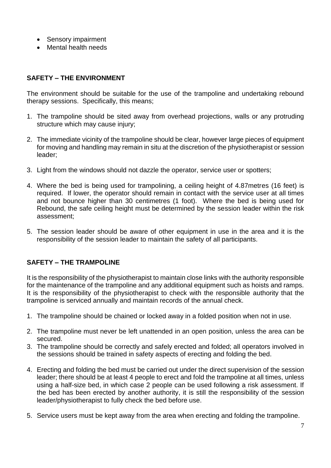- Sensory impairment
- Mental health needs

# **SAFETY – THE ENVIRONMENT**

The environment should be suitable for the use of the trampoline and undertaking rebound therapy sessions. Specifically, this means;

- 1. The trampoline should be sited away from overhead projections, walls or any protruding structure which may cause injury;
- 2. The immediate vicinity of the trampoline should be clear, however large pieces of equipment for moving and handling may remain in situ at the discretion of the physiotherapist or session leader;
- 3. Light from the windows should not dazzle the operator, service user or spotters;
- 4. Where the bed is being used for trampolining, a ceiling height of 4.87metres (16 feet) is required. If lower, the operator should remain in contact with the service user at all times and not bounce higher than 30 centimetres (1 foot). Where the bed is being used for Rebound, the safe ceiling height must be determined by the session leader within the risk assessment;
- 5. The session leader should be aware of other equipment in use in the area and it is the responsibility of the session leader to maintain the safety of all participants.

# **SAFETY – THE TRAMPOLINE**

It is the responsibility of the physiotherapist to maintain close links with the authority responsible for the maintenance of the trampoline and any additional equipment such as hoists and ramps. It is the responsibility of the physiotherapist to check with the responsible authority that the trampoline is serviced annually and maintain records of the annual check.

- 1. The trampoline should be chained or locked away in a folded position when not in use.
- 2. The trampoline must never be left unattended in an open position, unless the area can be secured.
- 3. The trampoline should be correctly and safely erected and folded; all operators involved in the sessions should be trained in safety aspects of erecting and folding the bed.
- 4. Erecting and folding the bed must be carried out under the direct supervision of the session leader; there should be at least 4 people to erect and fold the trampoline at all times, unless using a half-size bed, in which case 2 people can be used following a risk assessment. If the bed has been erected by another authority, it is still the responsibility of the session leader/physiotherapist to fully check the bed before use.
- 5. Service users must be kept away from the area when erecting and folding the trampoline.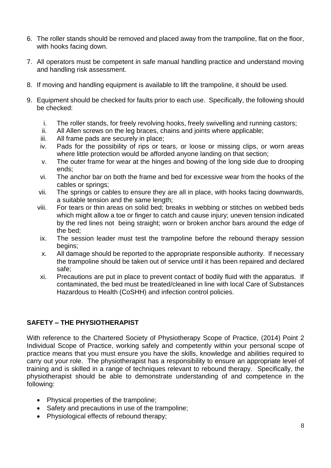- 6. The roller stands should be removed and placed away from the trampoline, flat on the floor, with hooks facing down.
- 7. All operators must be competent in safe manual handling practice and understand moving and handling risk assessment.
- 8. If moving and handling equipment is available to lift the trampoline, it should be used.
- 9. Equipment should be checked for faults prior to each use. Specifically, the following should be checked:
	- i. The roller stands, for freely revolving hooks, freely swivelling and running castors;
	- ii. All Allen screws on the leg braces, chains and joints where applicable;
	- iii. All frame pads are securely in place;
	- iv. Pads for the possibility of rips or tears, or loose or missing clips, or worn areas where little protection would be afforded anyone landing on that section;
	- v. The outer frame for wear at the hinges and bowing of the long side due to drooping ends;
	- vi. The anchor bar on both the frame and bed for excessive wear from the hooks of the cables or springs;
	- vii. The springs or cables to ensure they are all in place, with hooks facing downwards, a suitable tension and the same length;
	- viii. For tears or thin areas on solid bed; breaks in webbing or stitches on webbed beds which might allow a toe or finger to catch and cause injury; uneven tension indicated by the red lines not being straight; worn or broken anchor bars around the edge of the bed;
	- ix. The session leader must test the trampoline before the rebound therapy session begins;
	- x. All damage should be reported to the appropriate responsible authority. If necessary the trampoline should be taken out of service until it has been repaired and declared safe;
	- xi. Precautions are put in place to prevent contact of bodily fluid with the apparatus. If contaminated, the bed must be treated/cleaned in line with local Care of Substances Hazardous to Health (CoSHH) and infection control policies.

# **SAFETY – THE PHYSIOTHERAPIST**

With reference to the Chartered Society of Physiotherapy Scope of Practice, (2014) Point 2 Individual Scope of Practice, working safely and competently within your personal scope of practice means that you must ensure you have the skills, knowledge and abilities required to carry out your role. The physiotherapist has a responsibility to ensure an appropriate level of training and is skilled in a range of techniques relevant to rebound therapy. Specifically, the physiotherapist should be able to demonstrate understanding of and competence in the following:

- Physical properties of the trampoline;
- Safety and precautions in use of the trampoline;
- Physiological effects of rebound therapy;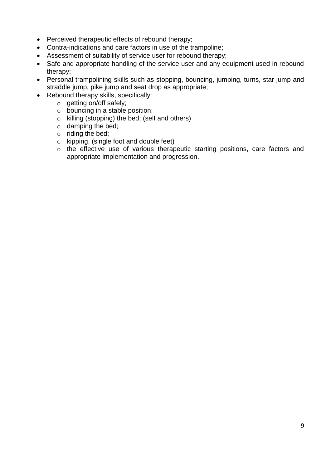- Perceived therapeutic effects of rebound therapy;
- Contra-indications and care factors in use of the trampoline;
- Assessment of suitability of service user for rebound therapy;
- Safe and appropriate handling of the service user and any equipment used in rebound therapy;
- Personal trampolining skills such as stopping, bouncing, jumping, turns, star jump and straddle jump, pike jump and seat drop as appropriate;
- Rebound therapy skills, specifically:
	- o getting on/off safely;
	- o bouncing in a stable position;
	- o killing (stopping) the bed; (self and others)
	- o damping the bed;
	- o riding the bed;
	- o kipping, (single foot and double feet)
	- o the effective use of various therapeutic starting positions, care factors and appropriate implementation and progression.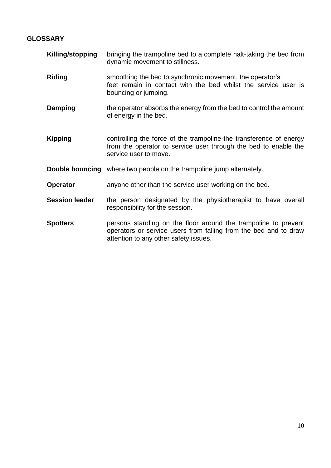# **GLOSSARY**

| Killing/stopping      | bringing the trampoline bed to a complete halt-taking the bed from<br>dynamic movement to stillness.                                                                        |
|-----------------------|-----------------------------------------------------------------------------------------------------------------------------------------------------------------------------|
| <b>Riding</b>         | smoothing the bed to synchronic movement, the operator's<br>feet remain in contact with the bed whilst the service user is<br>bouncing or jumping.                          |
| Damping               | the operator absorbs the energy from the bed to control the amount<br>of energy in the bed.                                                                                 |
| <b>Kipping</b>        | controlling the force of the trampoline-the transference of energy<br>from the operator to service user through the bed to enable the<br>service user to move.              |
|                       | <b>Double bouncing</b> where two people on the trampoline jump alternately.                                                                                                 |
| <b>Operator</b>       | anyone other than the service user working on the bed.                                                                                                                      |
| <b>Session leader</b> | the person designated by the physiotherapist to have overall<br>responsibility for the session.                                                                             |
| <b>Spotters</b>       | persons standing on the floor around the trampoline to prevent<br>operators or service users from falling from the bed and to draw<br>attention to any other safety issues. |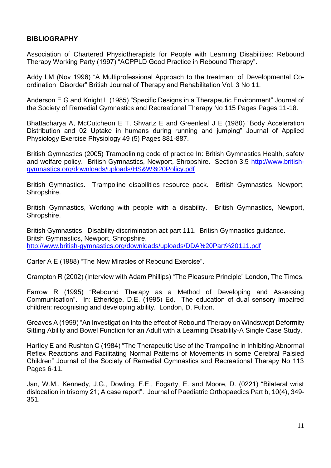#### **BIBLIOGRAPHY**

Association of Chartered Physiotherapists for People with Learning Disabilities: Rebound Therapy Working Party (1997) "ACPPLD Good Practice in Rebound Therapy".

Addy LM (Nov 1996) "A Multiprofessional Approach to the treatment of Developmental Coordination Disorder" British Journal of Therapy and Rehabilitation Vol. 3 No 11.

Anderson E G and Knight L (1985) "Specific Designs in a Therapeutic Environment" Journal of the Society of Remedial Gymnastics and Recreational Therapy No 115 Pages Pages 11-18.

Bhattacharya A, McCutcheon E T, Shvartz E and Greenleaf J E (1980) "Body Acceleration Distribution and 02 Uptake in humans during running and jumping" Journal of Applied Physiology Exercise Physiology 49 (5) Pages 881-887.

British Gymnastics (2005) Trampolining code of practice In: British Gymnastics Health, safety and welfare policy. British Gymnastics, Newport, Shropshire. Section 3.5 [http://www.british](http://www.british-gymnastics.org/downloads/uploads/HS&W%20Policy.pdf)[gymnastics.org/downloads/uploads/HS&W%20Policy.pdf](http://www.british-gymnastics.org/downloads/uploads/HS&W%20Policy.pdf)

British Gymnastics. Trampoline disabilities resource pack. British Gymnastics. Newport, Shropshire.

British Gymnastics, Working with people with a disability. British Gymnastics, Newport, Shropshire.

British Gymnastics. Disability discrimination act part 111. British Gymnastics guidance. Britsh Gymnastics, Newport, Shropshire. <http://www.british-gymnastics.org/downloads/uploads/DDA%20Part%20111.pdf>

Carter A E (1988) "The New Miracles of Rebound Exercise".

Crampton R (2002) (Interview with Adam Phillips) "The Pleasure Principle" London, The Times.

Farrow R (1995) "Rebound Therapy as a Method of Developing and Assessing Communication". In: Etheridge, D.E. (1995) Ed. The education of dual sensory impaired children: recognising and developing ability. London, D. Fulton.

Greaves A (1999) "An Investigation into the effect of Rebound Therapy on Windswept Deformity Sitting Ability and Bowel Function for an Adult with a Learning Disability-A Single Case Study.

Hartley E and Rushton C (1984) "The Therapeutic Use of the Trampoline in Inhibiting Abnormal Reflex Reactions and Facilitating Normal Patterns of Movements in some Cerebral Palsied Children" Journal of the Society of Remedial Gymnastics and Recreational Therapy No 113 Pages 6-11.

Jan, W.M., Kennedy, J.G., Dowling, F.E., Fogarty, E. and Moore, D. (0221) "Bilateral wrist dislocation in trisomy 21; A case report". Journal of Paediatric Orthopaedics Part b, 10(4), 349- 351.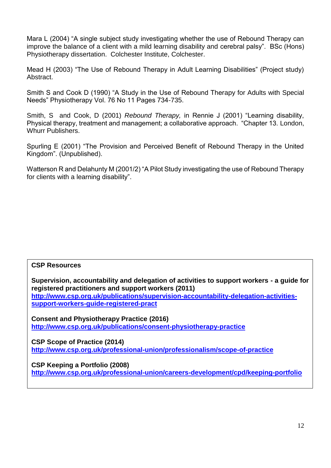Mara L (2004) "A single subject study investigating whether the use of Rebound Therapy can improve the balance of a client with a mild learning disability and cerebral palsy". BSc (Hons) Physiotherapy dissertation. Colchester Institute, Colchester.

Mead H (2003) "The Use of Rebound Therapy in Adult Learning Disabilities" (Project study) Abstract.

Smith S and Cook D (1990) "A Study in the Use of Rebound Therapy for Adults with Special Needs" Physiotherapy Vol. 76 No 11 Pages 734-735.

Smith, S and Cook, D (2001) *Rebound Therapy,* in Rennie J (2001) "Learning disability, Physical therapy, treatment and management; a collaborative approach. "Chapter 13. London, Whurr Publishers.

Spurling E (2001) "The Provision and Perceived Benefit of Rebound Therapy in the United Kingdom". (Unpublished).

Watterson R and Delahunty M (2001/2) "A Pilot Study investigating the use of Rebound Therapy for clients with a learning disability".

#### **CSP Resources**

**Supervision, accountability and delegation of activities to support workers - a guide for registered practitioners and support workers (2011) [http://www.csp.org.uk/publications/supervision-accountability-delegation-activities](http://www.csp.org.uk/publications/supervision-accountability-delegation-activities-support-workers-guide-registered-pract)[support-workers-guide-registered-pract](http://www.csp.org.uk/publications/supervision-accountability-delegation-activities-support-workers-guide-registered-pract)**

**Consent and Physiotherapy Practice (2016) <http://www.csp.org.uk/publications/consent-physiotherapy-practice>**

**CSP Scope of Practice (2014) <http://www.csp.org.uk/professional-union/professionalism/scope-of-practice>**

**CSP Keeping a Portfolio (2008)**

**<http://www.csp.org.uk/professional-union/careers-development/cpd/keeping-portfolio>**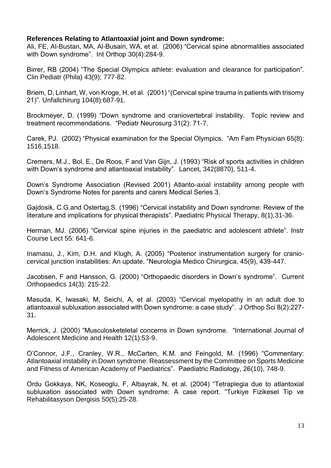#### **References Relating to Atlantoaxial joint and Down syndrome:**

Ali, FE, Al-Bustan, MA, Al-Busairi, WA, et al. (2006) "Cervical spine abnormalities associated with Down syndrome". Int Orthop 30(4):284-9.

Birrer, RB (2004) "The Special Olympics athlete: evaluation and clearance for participation". Clin Pediatr (Phila) 43(9); 777-82.

Briem, D, Linhart, W, von Kroge, H, et al. (2001) "(Cervical spine trauma in patients with trisomy 21)". Unfallchirurg 104(8):687-91.

Brockmeyer, D. (1999) "Down syndrome and craniovertebral instability. Topic review and treatment recommendations. "Pediatr Neurosurg 31(2): 71-7.

Carek, PJ. (2002) "Physical examination for the Special Olympics. "Am Fam Physician 65(8): 1516,1518.

Cremers, M.J., Bol, E., De Roos, F and Van Gijn, J. (1993) "Risk of sports activities in children with Down's syndrome and atlantoaxial instability". Lancet, 342(8870), 511-4.

Down's Syndrome Association (Revised 2001) Atlanto-axial instability among people with Down's Syndrome Notes for parents and carers Medical Series 3.

Gajdosik, C.G.and Ostertag,S. (1996) "Cervical instability and Down syndrome: Review of the literature and implications for physical therapists". Paediatric Physical Therapy, 8(1),31-36.

Herman, MJ. (2006) "Cervical spine injuries in the paediatric and adolescent athlete". Instr Course Lect 55: 641-6.

Inamasu, J., Kim, D.H. and Klugh, A. (2005) "Posterior instrumentation surgery for craniocervical junction instabilities: An update. "Neurologia Medico Chirurgica, 45(9), 439-447.

Jacobsen, F and Hansson, G. (2000) "Orthopaedic disorders in Down's syndrome". Current Orthopaedics 14(3): 215-22.

Masuda, K, Iwasaki, M, Seichi, A, et al. (2003) "Cervical myelopathy in an adult due to atlantoaxial subluxation associated with Down syndrome: a case study". J Orthop Sci 8(2):227- 31.

Merrick, J. (2000) "Musculosketeletal concerns in Down syndrome. "International Journal of Adolescent Medicine and Health 12(1):53-9.

O'Connor, J.F., Cranley, W.R., McCarten, K.M. and Feingold, M. (1996) "Commentary: Atlantoaxial instability in Down syndrome: Reassessment by the Committee on Sports Medicine and Fitness of American Academy of Paediatrics". Paediatric Radiology, 26(10), 748-9.

Ordu Gokkaya, NK, Koseoglu, F, Albayrak, N, et al. (2004) "Tetraplegia due to atlantoxial subluxation associated with Down syndrome: A case report. "Turkiye Fizikesel Tip ve Rehabilitasyson Dergisis 50(5):25-28.